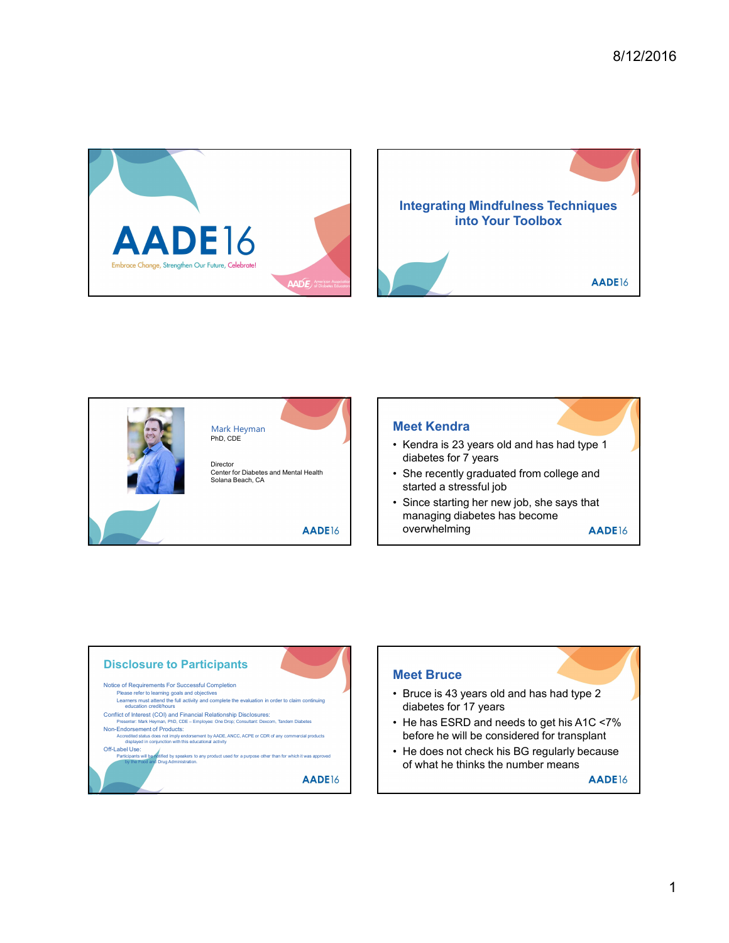





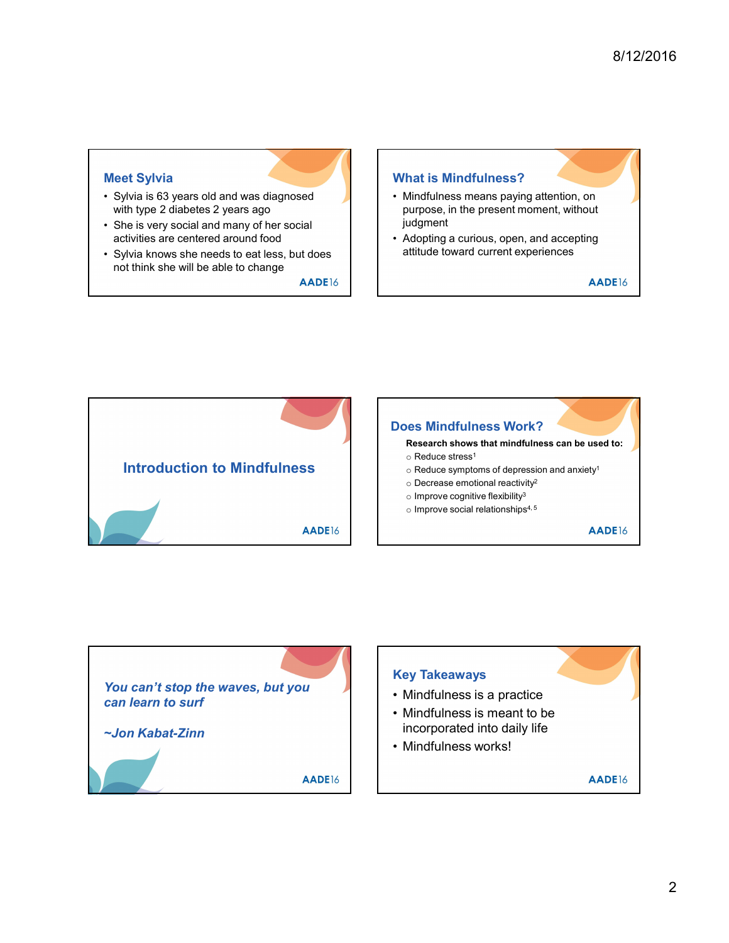## Meet Sylvia

- with type 2 diabetes 2 years ago
- activities are centered around food **Activities** are centered around food **Activities** are centered around food
- Meet Sylvia<br>
 Sylvia is 63 years old and was diagnosed<br>
 She is very social and many of her social<br>
 She is very social and many of her social<br>
 She is very social and many of her social<br>
 Sylvia knows the needs to ea Meet Sylvia<br>
• Sylvia is 63 years old and was diagnosed<br>
with type 2 diabetes 2 years ago<br>
• She is very social and many of her social<br>
• She is very social and many of her social<br>
• Sylvia knows she needs to eat less, but Example the Sylvia<br>
• Sylvia is 63 years old and was diagnosed<br>
• What is Mindfulness means point<br>
• What is Mindfulness means point<br>
• Mindfulness means purpose, in the present<br>
• Sylvia knows she needs to eat less, but not think she will be able to change

## What is Mindfulness?

- 8/12/2016<br>
What is Mindfulness?<br>
 Mindfulness means paying attention, on<br>
purpose, in the present moment, without<br>
judgment<br>
 Adopting a curious, open, and accepting<br>
attitude toward current experiences purpose, in the present moment, without judgment 8/12/2016<br>
• Mindfulness?<br>
• Mindfulness means paying attention, on<br>
purpose, in the present moment, without<br>
judgment<br>
• Adopting a curious, open, and accepting<br>
attitude toward current experiences<br>
AADE16
- attitude toward current experiences



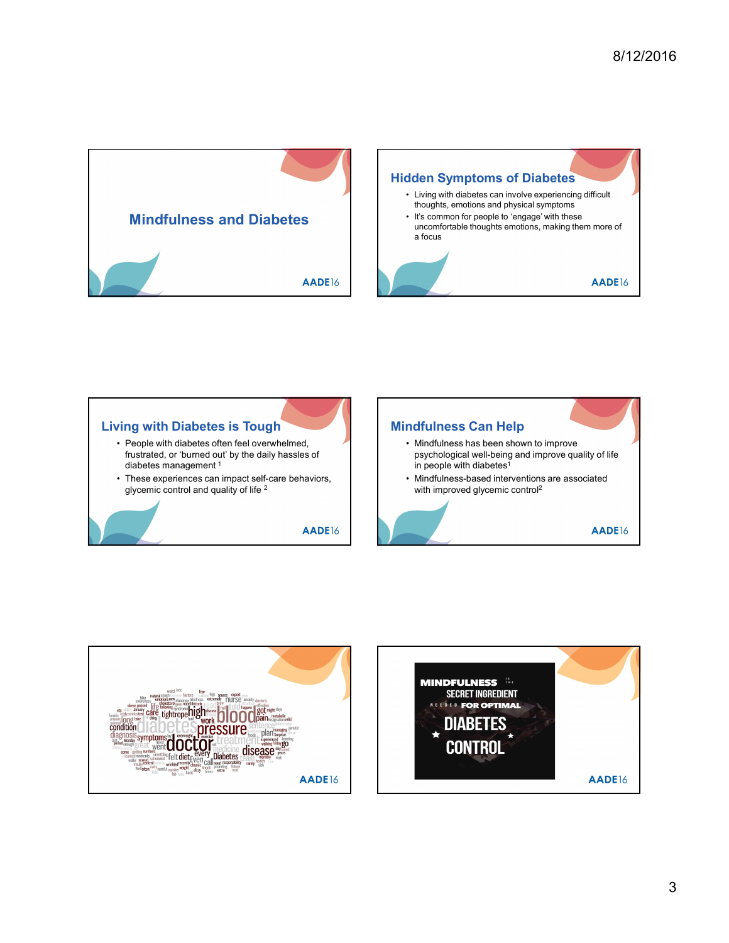





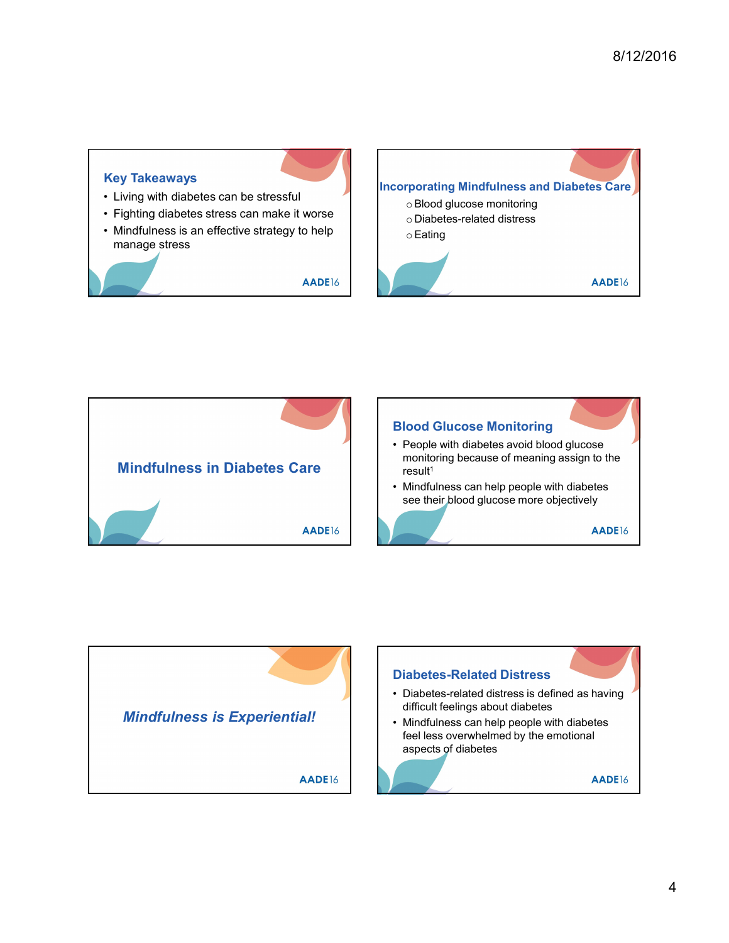## Key Takeaways Examples the stressful<br>
• Fighting diabetes can be stressful<br>
• Fighting diabetes stress can make it worse<br>
• Mindfulness is an effective strategy to help<br>
manage stress<br>
→ Eating<br>
→ Eating<br>
→ Eating<br>
→ Eating Examples the Separation of the Separation of the Separation of the Separation of the Separation of the Separation of the Separation of the Separation of the Separation of the Separation of the Separation of the Separation Examples 1998<br>
• Living with diabetes can be stressful<br>
• Fighting diabetes stress can make it worse<br>
• Mindfulness is an effective strategy to help<br>
manage stress<br>
AADE16 manage stress Incorporating Mindfulness and Diabetes Care oBlood glucose monitoring o Diabetes-related distress oEating



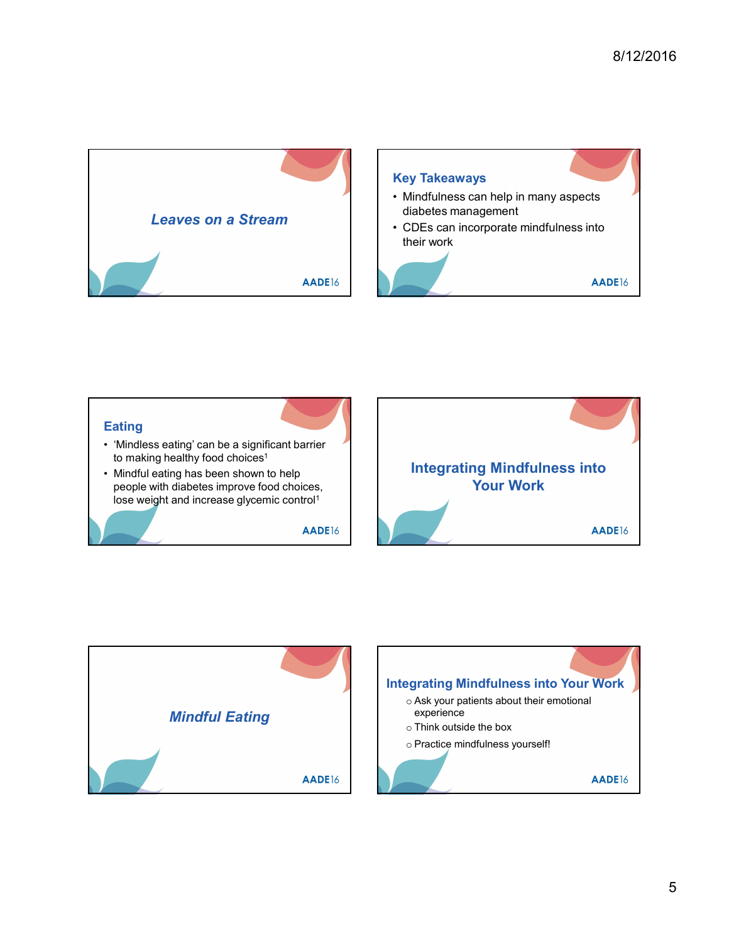



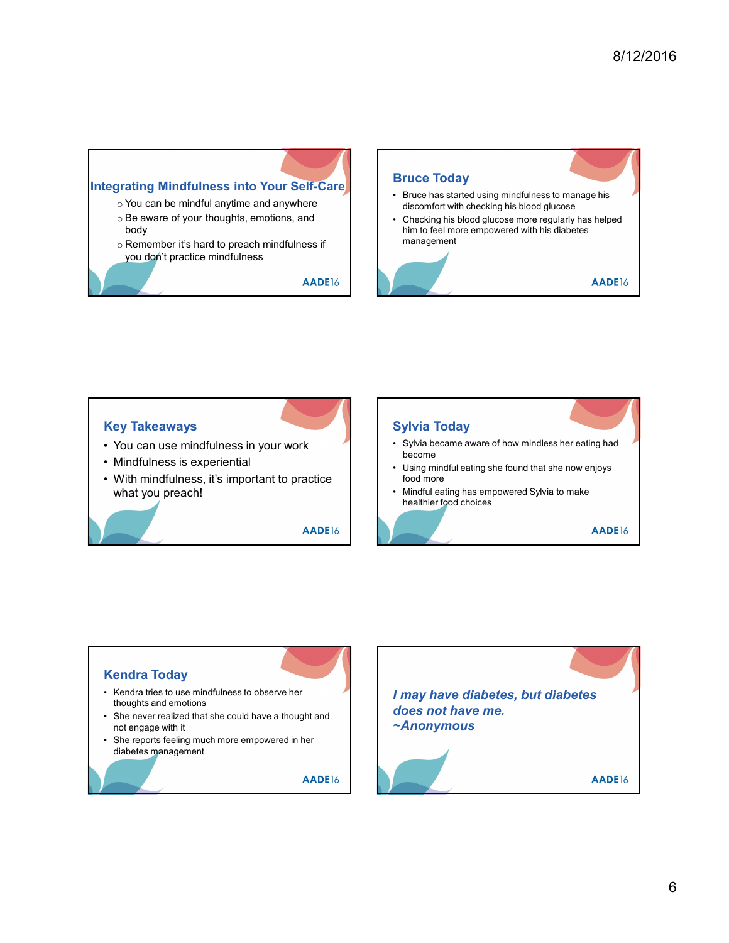- o You can be mindful anytime and anywhere
- body
- o Remember it's hard to preach mindfulness if you don't practice mindfulness